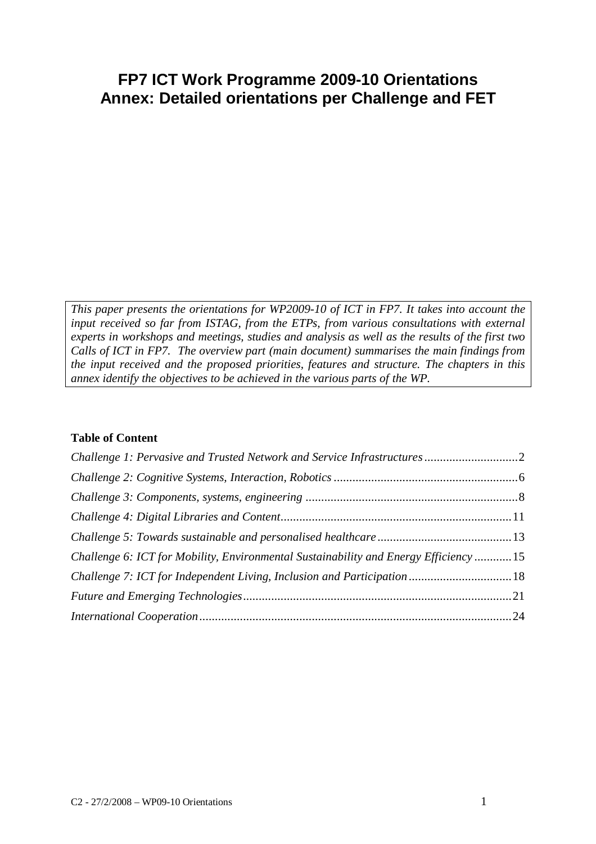## **FP7 ICT Work Programme 2009-10 Orientations Annex: Detailed orientations per Challenge and FET**

*This paper presents the orientations for WP2009-10 of ICT in FP7. It takes into account the input received so far from ISTAG, from the ETPs, from various consultations with external experts in workshops and meetings, studies and analysis as well as the results of the first two Calls of ICT in FP7. The overview part (main document) summarises the main findings from the input received and the proposed priorities, features and structure. The chapters in this annex identify the objectives to be achieved in the various parts of the WP.*

#### **Table of Content**

| Challenge 6: ICT for Mobility, Environmental Sustainability and Energy Efficiency15 |  |
|-------------------------------------------------------------------------------------|--|
|                                                                                     |  |
|                                                                                     |  |
|                                                                                     |  |
|                                                                                     |  |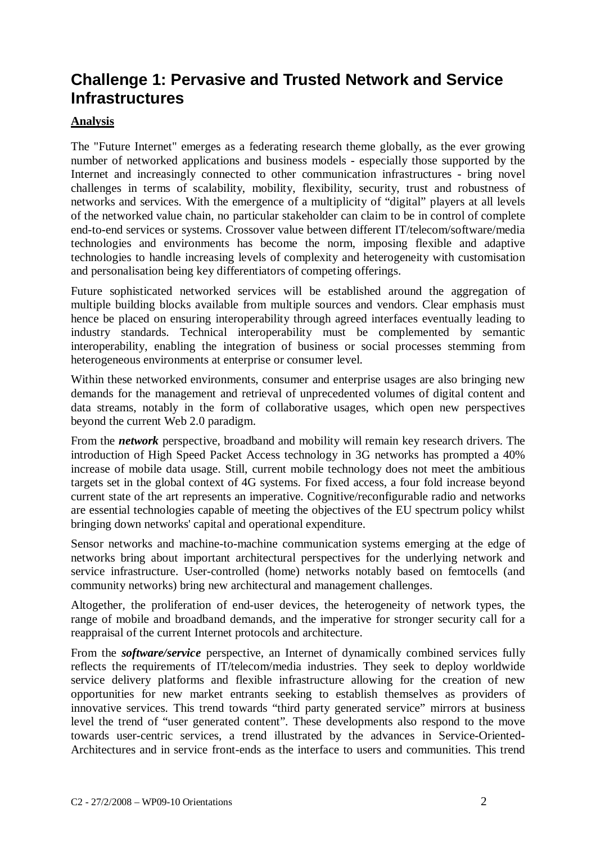## **Challenge 1: Pervasive and Trusted Network and Service Infrastructures**

### **Analysis**

The "Future Internet" emerges as a federating research theme globally, as the ever growing number of networked applications and business models - especially those supported by the Internet and increasingly connected to other communication infrastructures - bring novel challenges in terms of scalability, mobility, flexibility, security, trust and robustness of networks and services. With the emergence of a multiplicity of "digital" players at all levels of the networked value chain, no particular stakeholder can claim to be in control of complete end-to-end services or systems. Crossover value between different IT/telecom/software/media technologies and environments has become the norm, imposing flexible and adaptive technologies to handle increasing levels of complexity and heterogeneity with customisation and personalisation being key differentiators of competing offerings.

Future sophisticated networked services will be established around the aggregation of multiple building blocks available from multiple sources and vendors. Clear emphasis must hence be placed on ensuring interoperability through agreed interfaces eventually leading to industry standards. Technical interoperability must be complemented by semantic interoperability, enabling the integration of business or social processes stemming from heterogeneous environments at enterprise or consumer level.

Within these networked environments, consumer and enterprise usages are also bringing new demands for the management and retrieval of unprecedented volumes of digital content and data streams, notably in the form of collaborative usages, which open new perspectives beyond the current Web 2.0 paradigm.

From the *network* perspective, broadband and mobility will remain key research drivers. The introduction of High Speed Packet Access technology in 3G networks has prompted a 40% increase of mobile data usage. Still, current mobile technology does not meet the ambitious targets set in the global context of 4G systems. For fixed access, a four fold increase beyond current state of the art represents an imperative. Cognitive/reconfigurable radio and networks are essential technologies capable of meeting the objectives of the EU spectrum policy whilst bringing down networks' capital and operational expenditure.

Sensor networks and machine-to-machine communication systems emerging at the edge of networks bring about important architectural perspectives for the underlying network and service infrastructure. User-controlled (home) networks notably based on femtocells (and community networks) bring new architectural and management challenges.

Altogether, the proliferation of end-user devices, the heterogeneity of network types, the range of mobile and broadband demands, and the imperative for stronger security call for a reappraisal of the current Internet protocols and architecture.

From the *software/service* perspective, an Internet of dynamically combined services fully reflects the requirements of IT/telecom/media industries. They seek to deploy worldwide service delivery platforms and flexible infrastructure allowing for the creation of new opportunities for new market entrants seeking to establish themselves as providers of innovative services. This trend towards "third party generated service" mirrors at business level the trend of "user generated content". These developments also respond to the move towards user-centric services, a trend illustrated by the advances in Service-Oriented-Architectures and in service front-ends as the interface to users and communities. This trend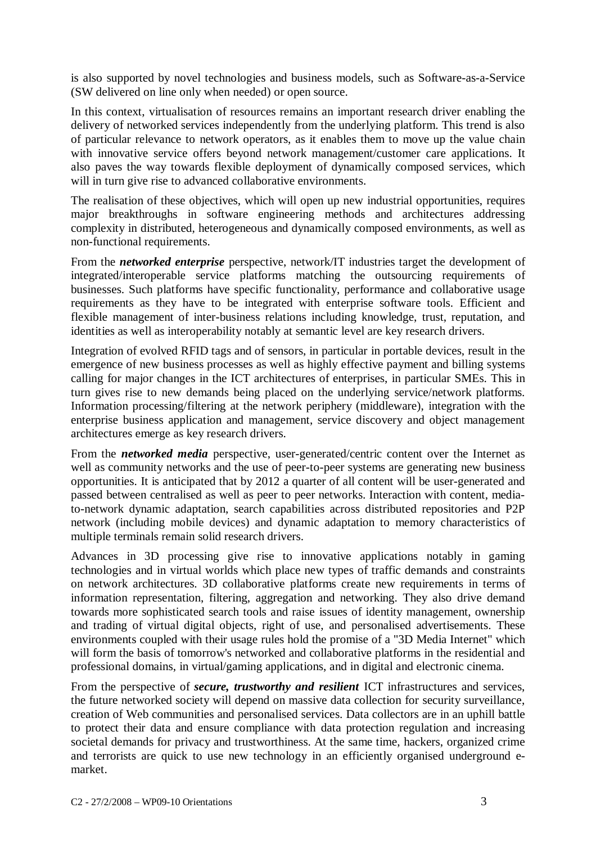is also supported by novel technologies and business models, such as Software-as-a-Service (SW delivered on line only when needed) or open source.

In this context, virtualisation of resources remains an important research driver enabling the delivery of networked services independently from the underlying platform. This trend is also of particular relevance to network operators, as it enables them to move up the value chain with innovative service offers beyond network management/customer care applications. It also paves the way towards flexible deployment of dynamically composed services, which will in turn give rise to advanced collaborative environments.

The realisation of these objectives, which will open up new industrial opportunities, requires major breakthroughs in software engineering methods and architectures addressing complexity in distributed, heterogeneous and dynamically composed environments, as well as non-functional requirements.

From the *networked enterprise* perspective, network/IT industries target the development of integrated/interoperable service platforms matching the outsourcing requirements of businesses. Such platforms have specific functionality, performance and collaborative usage requirements as they have to be integrated with enterprise software tools. Efficient and flexible management of inter-business relations including knowledge, trust, reputation, and identities as well as interoperability notably at semantic level are key research drivers.

Integration of evolved RFID tags and of sensors, in particular in portable devices, result in the emergence of new business processes as well as highly effective payment and billing systems calling for major changes in the ICT architectures of enterprises, in particular SMEs. This in turn gives rise to new demands being placed on the underlying service/network platforms. Information processing/filtering at the network periphery (middleware), integration with the enterprise business application and management, service discovery and object management architectures emerge as key research drivers.

From the *networked media* perspective, user-generated/centric content over the Internet as well as community networks and the use of peer-to-peer systems are generating new business opportunities. It is anticipated that by 2012 a quarter of all content will be user-generated and passed between centralised as well as peer to peer networks. Interaction with content, mediato-network dynamic adaptation, search capabilities across distributed repositories and P2P network (including mobile devices) and dynamic adaptation to memory characteristics of multiple terminals remain solid research drivers.

Advances in 3D processing give rise to innovative applications notably in gaming technologies and in virtual worlds which place new types of traffic demands and constraints on network architectures. 3D collaborative platforms create new requirements in terms of information representation, filtering, aggregation and networking. They also drive demand towards more sophisticated search tools and raise issues of identity management, ownership and trading of virtual digital objects, right of use, and personalised advertisements. These environments coupled with their usage rules hold the promise of a "3D Media Internet" which will form the basis of tomorrow's networked and collaborative platforms in the residential and professional domains, in virtual/gaming applications, and in digital and electronic cinema.

From the perspective of *secure, trustworthy and resilient* ICT infrastructures and services, the future networked society will depend on massive data collection for security surveillance, creation of Web communities and personalised services. Data collectors are in an uphill battle to protect their data and ensure compliance with data protection regulation and increasing societal demands for privacy and trustworthiness. At the same time, hackers, organized crime and terrorists are quick to use new technology in an efficiently organised underground emarket.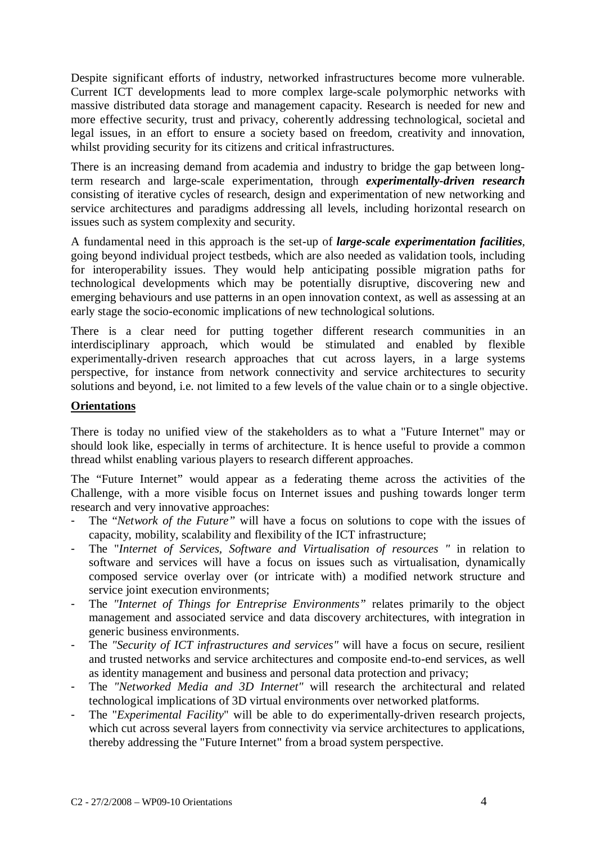Despite significant efforts of industry, networked infrastructures become more vulnerable. Current ICT developments lead to more complex large-scale polymorphic networks with massive distributed data storage and management capacity. Research is needed for new and more effective security, trust and privacy, coherently addressing technological, societal and legal issues, in an effort to ensure a society based on freedom, creativity and innovation, whilst providing security for its citizens and critical infrastructures.

There is an increasing demand from academia and industry to bridge the gap between longterm research and large-scale experimentation, through *experimentally-driven research* consisting of iterative cycles of research, design and experimentation of new networking and service architectures and paradigms addressing all levels, including horizontal research on issues such as system complexity and security.

A fundamental need in this approach is the set-up of *large-scale experimentation facilities*, going beyond individual project testbeds, which are also needed as validation tools, including for interoperability issues. They would help anticipating possible migration paths for technological developments which may be potentially disruptive, discovering new and emerging behaviours and use patterns in an open innovation context, as well as assessing at an early stage the socio-economic implications of new technological solutions.

There is a clear need for putting together different research communities in an interdisciplinary approach, which would be stimulated and enabled by flexible experimentally-driven research approaches that cut across layers, in a large systems perspective, for instance from network connectivity and service architectures to security solutions and beyond, i.e. not limited to a few levels of the value chain or to a single objective.

#### **Orientations**

There is today no unified view of the stakeholders as to what a "Future Internet" may or should look like, especially in terms of architecture. It is hence useful to provide a common thread whilst enabling various players to research different approaches.

The "Future Internet" would appear as a federating theme across the activities of the Challenge, with a more visible focus on Internet issues and pushing towards longer term research and very innovative approaches:

- The "*Network of the Future*" will have a focus on solutions to cope with the issues of capacity, mobility, scalability and flexibility of the ICT infrastructure;
- The "*Internet of Services, Software and Virtualisation of resources "* in relation to software and services will have a focus on issues such as virtualisation, dynamically composed service overlay over (or intricate with) a modified network structure and service joint execution environments;
- The *"Internet of Things for Entreprise Environments"* relates primarily to the object management and associated service and data discovery architectures, with integration in generic business environments.
- The *"Security of ICT infrastructures and services"* will have a focus on secure, resilient and trusted networks and service architectures and composite end-to-end services, as well as identity management and business and personal data protection and privacy;
- The *"Networked Media and 3D Internet"* will research the architectural and related technological implications of 3D virtual environments over networked platforms.
- The "*Experimental Facility*" will be able to do experimentally-driven research projects, which cut across several layers from connectivity via service architectures to applications, thereby addressing the "Future Internet" from a broad system perspective.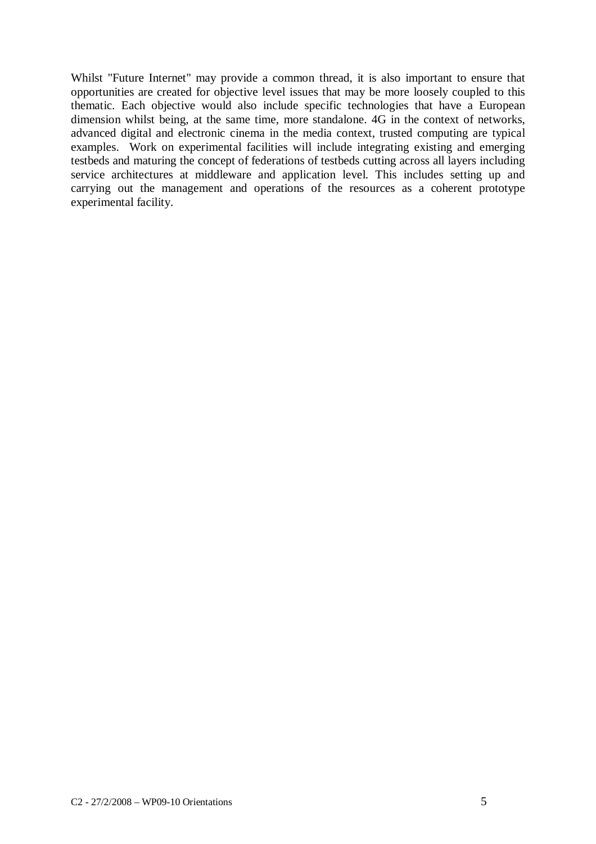Whilst "Future Internet" may provide a common thread, it is also important to ensure that opportunities are created for objective level issues that may be more loosely coupled to this thematic. Each objective would also include specific technologies that have a European dimension whilst being, at the same time, more standalone. 4G in the context of networks, advanced digital and electronic cinema in the media context, trusted computing are typical examples. Work on experimental facilities will include integrating existing and emerging testbeds and maturing the concept of federations of testbeds cutting across all layers including service architectures at middleware and application level. This includes setting up and carrying out the management and operations of the resources as a coherent prototype experimental facility.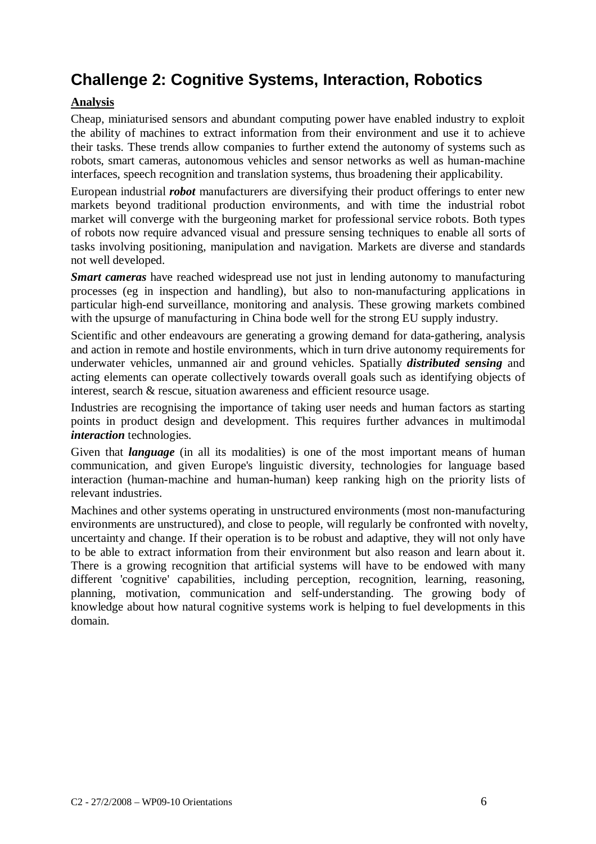# **Challenge 2: Cognitive Systems, Interaction, Robotics**

## **Analysis**

Cheap, miniaturised sensors and abundant computing power have enabled industry to exploit the ability of machines to extract information from their environment and use it to achieve their tasks. These trends allow companies to further extend the autonomy of systems such as robots, smart cameras, autonomous vehicles and sensor networks as well as human-machine interfaces, speech recognition and translation systems, thus broadening their applicability.

European industrial *robot* manufacturers are diversifying their product offerings to enter new markets beyond traditional production environments, and with time the industrial robot market will converge with the burgeoning market for professional service robots. Both types of robots now require advanced visual and pressure sensing techniques to enable all sorts of tasks involving positioning, manipulation and navigation. Markets are diverse and standards not well developed.

*Smart cameras* have reached widespread use not just in lending autonomy to manufacturing processes (eg in inspection and handling), but also to non-manufacturing applications in particular high-end surveillance, monitoring and analysis. These growing markets combined with the upsurge of manufacturing in China bode well for the strong EU supply industry.

Scientific and other endeavours are generating a growing demand for data-gathering, analysis and action in remote and hostile environments, which in turn drive autonomy requirements for underwater vehicles, unmanned air and ground vehicles. Spatially *distributed sensing* and acting elements can operate collectively towards overall goals such as identifying objects of interest, search & rescue, situation awareness and efficient resource usage.

Industries are recognising the importance of taking user needs and human factors as starting points in product design and development. This requires further advances in multimodal *interaction* technologies.

Given that *language* (in all its modalities) is one of the most important means of human communication, and given Europe's linguistic diversity, technologies for language based interaction (human-machine and human-human) keep ranking high on the priority lists of relevant industries.

Machines and other systems operating in unstructured environments (most non-manufacturing environments are unstructured), and close to people, will regularly be confronted with novelty, uncertainty and change. If their operation is to be robust and adaptive, they will not only have to be able to extract information from their environment but also reason and learn about it. There is a growing recognition that artificial systems will have to be endowed with many different 'cognitive' capabilities, including perception, recognition, learning, reasoning, planning, motivation, communication and self-understanding. The growing body of knowledge about how natural cognitive systems work is helping to fuel developments in this domain.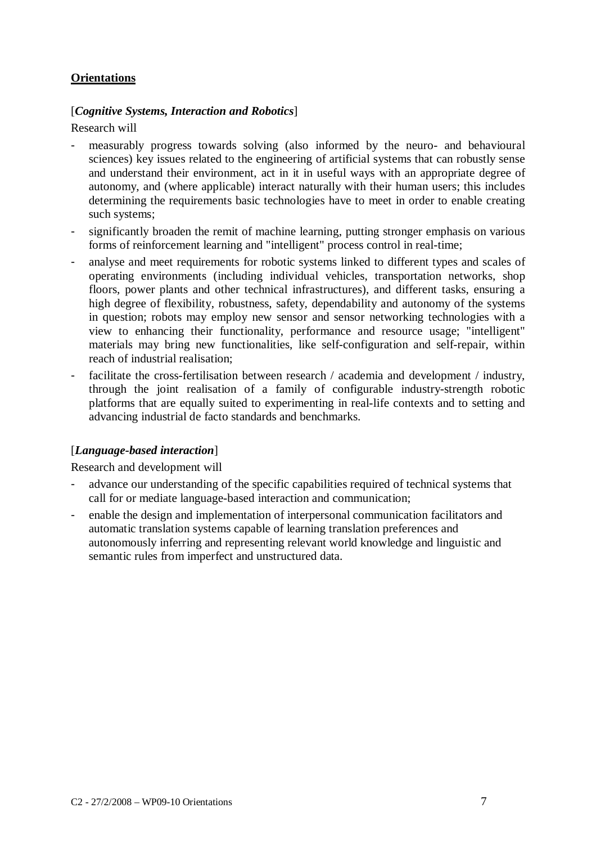#### **Orientations**

#### [*Cognitive Systems, Interaction and Robotics*]

Research will

- measurably progress towards solving (also informed by the neuro- and behavioural sciences) key issues related to the engineering of artificial systems that can robustly sense and understand their environment, act in it in useful ways with an appropriate degree of autonomy, and (where applicable) interact naturally with their human users; this includes determining the requirements basic technologies have to meet in order to enable creating such systems;
- significantly broaden the remit of machine learning, putting stronger emphasis on various forms of reinforcement learning and "intelligent" process control in real-time;
- analyse and meet requirements for robotic systems linked to different types and scales of operating environments (including individual vehicles, transportation networks, shop floors, power plants and other technical infrastructures), and different tasks, ensuring a high degree of flexibility, robustness, safety, dependability and autonomy of the systems in question; robots may employ new sensor and sensor networking technologies with a view to enhancing their functionality, performance and resource usage; "intelligent" materials may bring new functionalities, like self-configuration and self-repair, within reach of industrial realisation;
- facilitate the cross-fertilisation between research / academia and development / industry, through the joint realisation of a family of configurable industry-strength robotic platforms that are equally suited to experimenting in real-life contexts and to setting and advancing industrial de facto standards and benchmarks.

## [*Language-based interaction*]

Research and development will

- advance our understanding of the specific capabilities required of technical systems that call for or mediate language-based interaction and communication;
- enable the design and implementation of interpersonal communication facilitators and automatic translation systems capable of learning translation preferences and autonomously inferring and representing relevant world knowledge and linguistic and semantic rules from imperfect and unstructured data.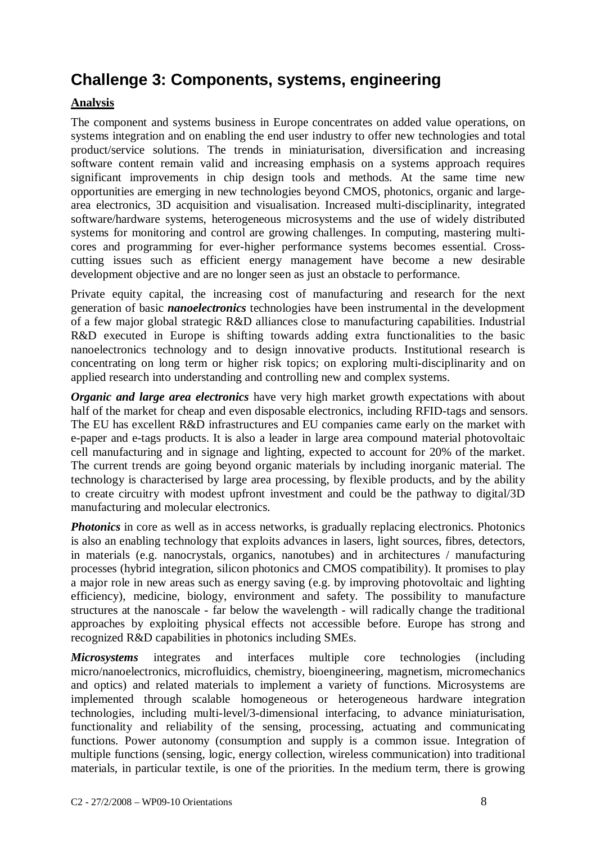## **Challenge 3: Components, systems, engineering**

## **Analysis**

The component and systems business in Europe concentrates on added value operations, on systems integration and on enabling the end user industry to offer new technologies and total product/service solutions. The trends in miniaturisation, diversification and increasing software content remain valid and increasing emphasis on a systems approach requires significant improvements in chip design tools and methods. At the same time new opportunities are emerging in new technologies beyond CMOS, photonics, organic and largearea electronics, 3D acquisition and visualisation. Increased multi-disciplinarity, integrated software/hardware systems, heterogeneous microsystems and the use of widely distributed systems for monitoring and control are growing challenges. In computing, mastering multicores and programming for ever-higher performance systems becomes essential. Crosscutting issues such as efficient energy management have become a new desirable development objective and are no longer seen as just an obstacle to performance.

Private equity capital, the increasing cost of manufacturing and research for the next generation of basic *nanoelectronics* technologies have been instrumental in the development of a few major global strategic R&D alliances close to manufacturing capabilities. Industrial R&D executed in Europe is shifting towards adding extra functionalities to the basic nanoelectronics technology and to design innovative products. Institutional research is concentrating on long term or higher risk topics; on exploring multi-disciplinarity and on applied research into understanding and controlling new and complex systems.

*Organic and large area electronics* have very high market growth expectations with about half of the market for cheap and even disposable electronics, including RFID-tags and sensors. The EU has excellent R&D infrastructures and EU companies came early on the market with e-paper and e-tags products. It is also a leader in large area compound material photovoltaic cell manufacturing and in signage and lighting, expected to account for 20% of the market. The current trends are going beyond organic materials by including inorganic material. The technology is characterised by large area processing, by flexible products, and by the ability to create circuitry with modest upfront investment and could be the pathway to digital/3D manufacturing and molecular electronics.

**Photonics** in core as well as in access networks, is gradually replacing electronics. Photonics is also an enabling technology that exploits advances in lasers, light sources, fibres, detectors, in materials (e.g. nanocrystals, organics, nanotubes) and in architectures / manufacturing processes (hybrid integration, silicon photonics and CMOS compatibility). It promises to play a major role in new areas such as energy saving (e.g. by improving photovoltaic and lighting efficiency), medicine, biology, environment and safety. The possibility to manufacture structures at the nanoscale - far below the wavelength - will radically change the traditional approaches by exploiting physical effects not accessible before. Europe has strong and recognized R&D capabilities in photonics including SMEs.

*Microsystems* integrates and interfaces multiple core technologies (including micro/nanoelectronics, microfluidics, chemistry, bioengineering, magnetism, micromechanics and optics) and related materials to implement a variety of functions. Microsystems are implemented through scalable homogeneous or heterogeneous hardware integration technologies, including multi-level/3-dimensional interfacing, to advance miniaturisation, functionality and reliability of the sensing, processing, actuating and communicating functions. Power autonomy (consumption and supply is a common issue. Integration of multiple functions (sensing, logic, energy collection, wireless communication) into traditional materials, in particular textile, is one of the priorities. In the medium term, there is growing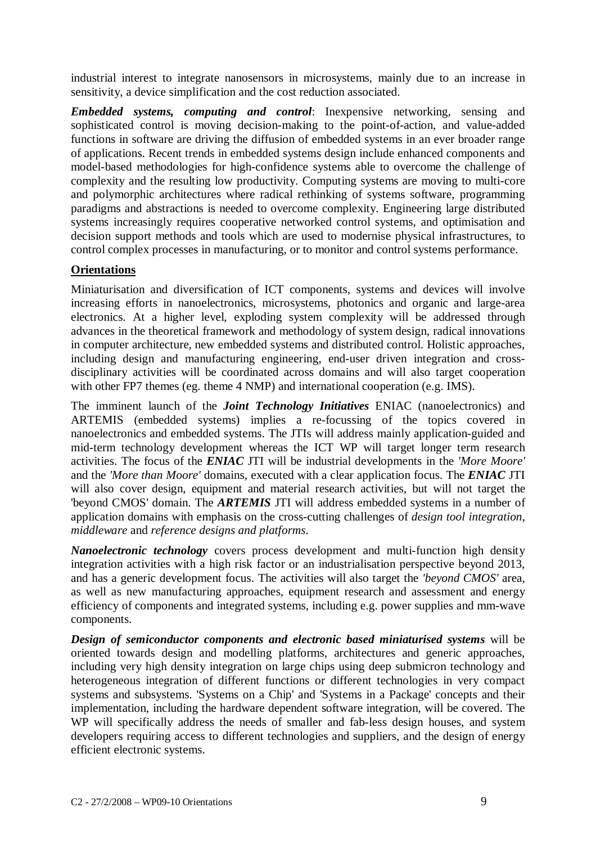industrial interest to integrate nanosensors in microsystems, mainly due to an increase in sensitivity, a device simplification and the cost reduction associated.

*Embedded systems, computing and control*: Inexpensive networking, sensing and sophisticated control is moving decision-making to the point-of-action, and value-added functions in software are driving the diffusion of embedded systems in an ever broader range of applications. Recent trends in embedded systems design include enhanced components and model-based methodologies for high-confidence systems able to overcome the challenge of complexity and the resulting low productivity. Computing systems are moving to multi-core and polymorphic architectures where radical rethinking of systems software, programming paradigms and abstractions is needed to overcome complexity. Engineering large distributed systems increasingly requires cooperative networked control systems, and optimisation and decision support methods and tools which are used to modernise physical infrastructures, to control complex processes in manufacturing, or to monitor and control systems performance.

#### **Orientations**

Miniaturisation and diversification of ICT components, systems and devices will involve increasing efforts in nanoelectronics, microsystems, photonics and organic and large-area electronics. At a higher level, exploding system complexity will be addressed through advances in the theoretical framework and methodology of system design, radical innovations in computer architecture, new embedded systems and distributed control. Holistic approaches, including design and manufacturing engineering, end-user driven integration and crossdisciplinary activities will be coordinated across domains and will also target cooperation with other FP7 themes (eg. theme 4 NMP) and international cooperation (e.g. IMS).

The imminent launch of the *Joint Technology Initiatives* ENIAC (nanoelectronics) and ARTEMIS (embedded systems) implies a re-focussing of the topics covered in nanoelectronics and embedded systems. The JTIs will address mainly application-guided and mid-term technology development whereas the ICT WP will target longer term research activities. The focus of the *ENIAC* JTI will be industrial developments in the *'More Moore'* and the *'More than Moore'* domains, executed with a clear application focus. The *ENIAC* JTI will also cover design, equipment and material research activities, but will not target the 'beyond CMOS' domain. The *ARTEMIS* JTI will address embedded systems in a number of application domains with emphasis on the cross-cutting challenges of *design tool integration*, *middleware* and *reference designs and platforms*.

*Nanoelectronic technology* covers process development and multi-function high density integration activities with a high risk factor or an industrialisation perspective beyond 2013, and has a generic development focus. The activities will also target the *'beyond CMOS'* area, as well as new manufacturing approaches, equipment research and assessment and energy efficiency of components and integrated systems, including e.g. power supplies and mm-wave components.

*Design of semiconductor components and electronic based miniaturised systems* will be oriented towards design and modelling platforms, architectures and generic approaches, including very high density integration on large chips using deep submicron technology and heterogeneous integration of different functions or different technologies in very compact systems and subsystems. 'Systems on a Chip' and 'Systems in a Package' concepts and their implementation, including the hardware dependent software integration, will be covered. The WP will specifically address the needs of smaller and fab-less design houses, and system developers requiring access to different technologies and suppliers, and the design of energy efficient electronic systems.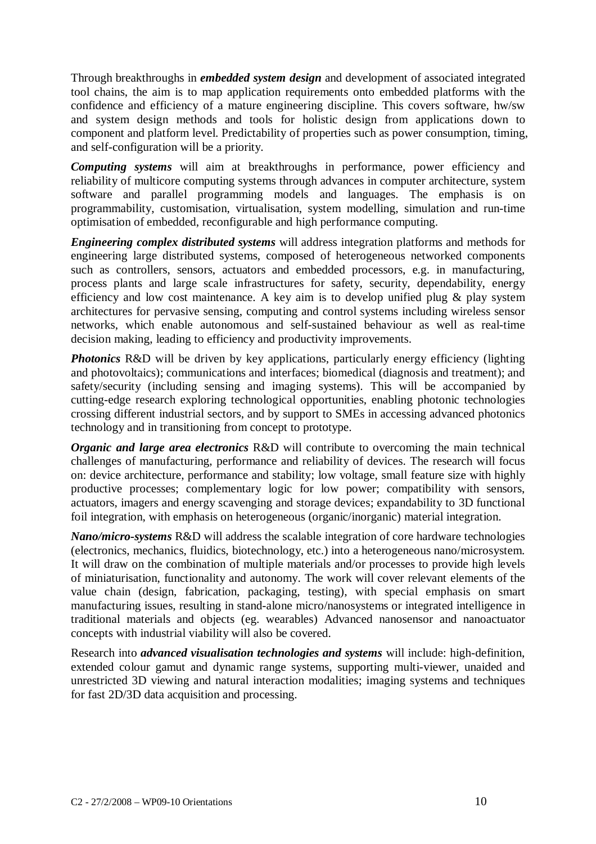Through breakthroughs in *embedded system design* and development of associated integrated tool chains, the aim is to map application requirements onto embedded platforms with the confidence and efficiency of a mature engineering discipline. This covers software, hw/sw and system design methods and tools for holistic design from applications down to component and platform level. Predictability of properties such as power consumption, timing, and self-configuration will be a priority.

*Computing systems* will aim at breakthroughs in performance, power efficiency and reliability of multicore computing systems through advances in computer architecture, system software and parallel programming models and languages. The emphasis is on programmability, customisation, virtualisation, system modelling, simulation and run-time optimisation of embedded, reconfigurable and high performance computing.

*Engineering complex distributed systems* will address integration platforms and methods for engineering large distributed systems, composed of heterogeneous networked components such as controllers, sensors, actuators and embedded processors, e.g. in manufacturing, process plants and large scale infrastructures for safety, security, dependability, energy efficiency and low cost maintenance. A key aim is to develop unified plug & play system architectures for pervasive sensing, computing and control systems including wireless sensor networks, which enable autonomous and self-sustained behaviour as well as real-time decision making, leading to efficiency and productivity improvements.

*Photonics* R&D will be driven by key applications, particularly energy efficiency (lighting and photovoltaics); communications and interfaces; biomedical (diagnosis and treatment); and safety/security (including sensing and imaging systems). This will be accompanied by cutting-edge research exploring technological opportunities, enabling photonic technologies crossing different industrial sectors, and by support to SMEs in accessing advanced photonics technology and in transitioning from concept to prototype.

*Organic and large area electronics* R&D will contribute to overcoming the main technical challenges of manufacturing, performance and reliability of devices. The research will focus on: device architecture, performance and stability; low voltage, small feature size with highly productive processes; complementary logic for low power; compatibility with sensors, actuators, imagers and energy scavenging and storage devices; expandability to 3D functional foil integration, with emphasis on heterogeneous (organic/inorganic) material integration.

*Nano/micro-systems* R&D will address the scalable integration of core hardware technologies (electronics, mechanics, fluidics, biotechnology, etc.) into a heterogeneous nano/microsystem. It will draw on the combination of multiple materials and/or processes to provide high levels of miniaturisation, functionality and autonomy. The work will cover relevant elements of the value chain (design, fabrication, packaging, testing), with special emphasis on smart manufacturing issues, resulting in stand-alone micro/nanosystems or integrated intelligence in traditional materials and objects (eg. wearables) Advanced nanosensor and nanoactuator concepts with industrial viability will also be covered.

Research into *advanced visualisation technologies and systems* will include: high-definition, extended colour gamut and dynamic range systems, supporting multi-viewer, unaided and unrestricted 3D viewing and natural interaction modalities; imaging systems and techniques for fast 2D/3D data acquisition and processing.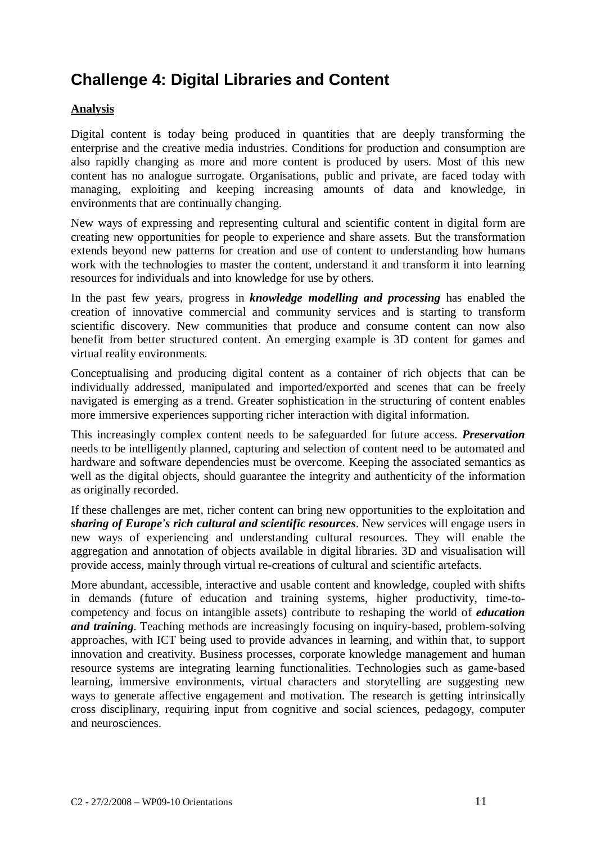# **Challenge 4: Digital Libraries and Content**

## **Analysis**

Digital content is today being produced in quantities that are deeply transforming the enterprise and the creative media industries. Conditions for production and consumption are also rapidly changing as more and more content is produced by users. Most of this new content has no analogue surrogate. Organisations, public and private, are faced today with managing, exploiting and keeping increasing amounts of data and knowledge, in environments that are continually changing.

New ways of expressing and representing cultural and scientific content in digital form are creating new opportunities for people to experience and share assets. But the transformation extends beyond new patterns for creation and use of content to understanding how humans work with the technologies to master the content, understand it and transform it into learning resources for individuals and into knowledge for use by others.

In the past few years, progress in *knowledge modelling and processing* has enabled the creation of innovative commercial and community services and is starting to transform scientific discovery. New communities that produce and consume content can now also benefit from better structured content. An emerging example is 3D content for games and virtual reality environments.

Conceptualising and producing digital content as a container of rich objects that can be individually addressed, manipulated and imported/exported and scenes that can be freely navigated is emerging as a trend. Greater sophistication in the structuring of content enables more immersive experiences supporting richer interaction with digital information.

This increasingly complex content needs to be safeguarded for future access. *Preservation* needs to be intelligently planned, capturing and selection of content need to be automated and hardware and software dependencies must be overcome. Keeping the associated semantics as well as the digital objects, should guarantee the integrity and authenticity of the information as originally recorded.

If these challenges are met, richer content can bring new opportunities to the exploitation and *sharing of Europe's rich cultural and scientific resources*. New services will engage users in new ways of experiencing and understanding cultural resources. They will enable the aggregation and annotation of objects available in digital libraries. 3D and visualisation will provide access, mainly through virtual re-creations of cultural and scientific artefacts.

More abundant, accessible, interactive and usable content and knowledge, coupled with shifts in demands (future of education and training systems, higher productivity, time-tocompetency and focus on intangible assets) contribute to reshaping the world of *education and training*. Teaching methods are increasingly focusing on inquiry-based, problem-solving approaches, with ICT being used to provide advances in learning, and within that, to support innovation and creativity. Business processes, corporate knowledge management and human resource systems are integrating learning functionalities. Technologies such as game-based learning, immersive environments, virtual characters and storytelling are suggesting new ways to generate affective engagement and motivation. The research is getting intrinsically cross disciplinary, requiring input from cognitive and social sciences, pedagogy, computer and neurosciences.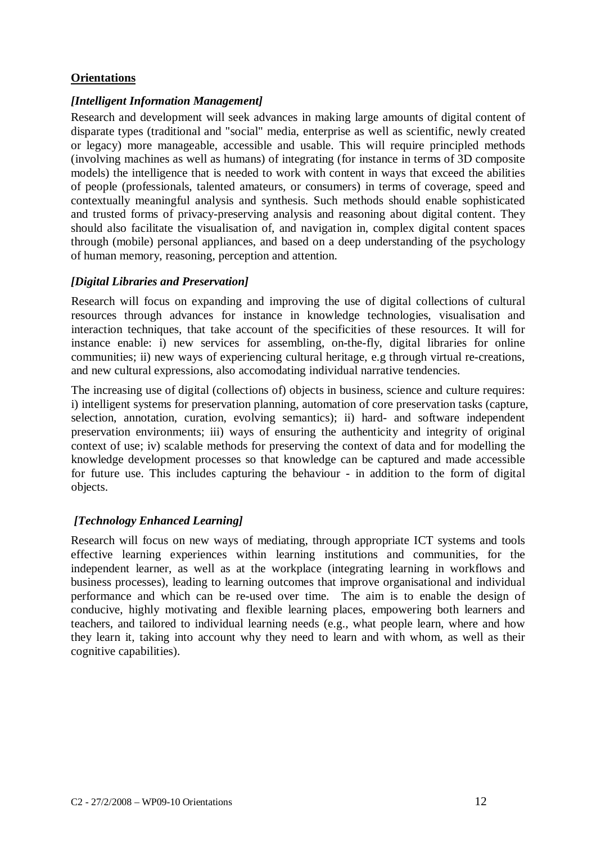#### **Orientations**

#### *[Intelligent Information Management]*

Research and development will seek advances in making large amounts of digital content of disparate types (traditional and "social" media, enterprise as well as scientific, newly created or legacy) more manageable, accessible and usable. This will require principled methods (involving machines as well as humans) of integrating (for instance in terms of 3D composite models) the intelligence that is needed to work with content in ways that exceed the abilities of people (professionals, talented amateurs, or consumers) in terms of coverage, speed and contextually meaningful analysis and synthesis. Such methods should enable sophisticated and trusted forms of privacy-preserving analysis and reasoning about digital content. They should also facilitate the visualisation of, and navigation in, complex digital content spaces through (mobile) personal appliances, and based on a deep understanding of the psychology of human memory, reasoning, perception and attention.

#### *[Digital Libraries and Preservation]*

Research will focus on expanding and improving the use of digital collections of cultural resources through advances for instance in knowledge technologies, visualisation and interaction techniques, that take account of the specificities of these resources. It will for instance enable: i) new services for assembling, on-the-fly, digital libraries for online communities; ii) new ways of experiencing cultural heritage, e.g through virtual re-creations, and new cultural expressions, also accomodating individual narrative tendencies.

The increasing use of digital (collections of) objects in business, science and culture requires: i) intelligent systems for preservation planning, automation of core preservation tasks (capture, selection, annotation, curation, evolving semantics); ii) hard- and software independent preservation environments; iii) ways of ensuring the authenticity and integrity of original context of use; iv) scalable methods for preserving the context of data and for modelling the knowledge development processes so that knowledge can be captured and made accessible for future use. This includes capturing the behaviour - in addition to the form of digital objects.

#### *[Technology Enhanced Learning]*

Research will focus on new ways of mediating, through appropriate ICT systems and tools effective learning experiences within learning institutions and communities, for the independent learner, as well as at the workplace (integrating learning in workflows and business processes), leading to learning outcomes that improve organisational and individual performance and which can be re-used over time. The aim is to enable the design of conducive, highly motivating and flexible learning places, empowering both learners and teachers, and tailored to individual learning needs (e.g., what people learn, where and how they learn it, taking into account why they need to learn and with whom, as well as their cognitive capabilities).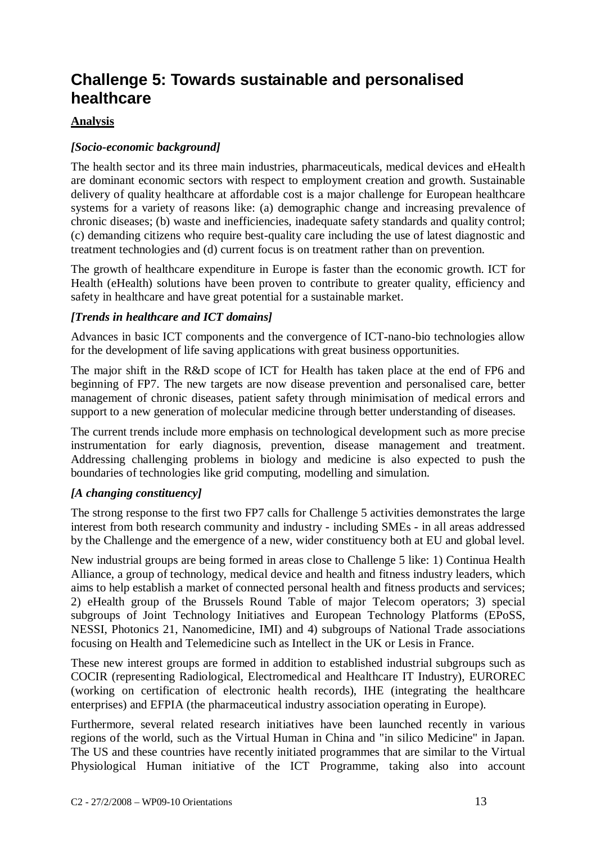## **Challenge 5: Towards sustainable and personalised healthcare**

#### **Analysis**

### *[Socio-economic background]*

The health sector and its three main industries, pharmaceuticals, medical devices and eHealth are dominant economic sectors with respect to employment creation and growth. Sustainable delivery of quality healthcare at affordable cost is a major challenge for European healthcare systems for a variety of reasons like: (a) demographic change and increasing prevalence of chronic diseases; (b) waste and inefficiencies, inadequate safety standards and quality control; (c) demanding citizens who require best-quality care including the use of latest diagnostic and treatment technologies and (d) current focus is on treatment rather than on prevention.

The growth of healthcare expenditure in Europe is faster than the economic growth. ICT for Health (eHealth) solutions have been proven to contribute to greater quality, efficiency and safety in healthcare and have great potential for a sustainable market.

#### *[Trends in healthcare and ICT domains]*

Advances in basic ICT components and the convergence of ICT-nano-bio technologies allow for the development of life saving applications with great business opportunities.

The major shift in the R&D scope of ICT for Health has taken place at the end of FP6 and beginning of FP7. The new targets are now disease prevention and personalised care, better management of chronic diseases, patient safety through minimisation of medical errors and support to a new generation of molecular medicine through better understanding of diseases.

The current trends include more emphasis on technological development such as more precise instrumentation for early diagnosis, prevention, disease management and treatment. Addressing challenging problems in biology and medicine is also expected to push the boundaries of technologies like grid computing, modelling and simulation.

#### *[A changing constituency]*

The strong response to the first two FP7 calls for Challenge 5 activities demonstrates the large interest from both research community and industry - including SMEs - in all areas addressed by the Challenge and the emergence of a new, wider constituency both at EU and global level.

New industrial groups are being formed in areas close to Challenge 5 like: 1) Continua Health Alliance, a group of technology, medical device and health and fitness industry leaders, which aims to help establish a market of connected personal health and fitness products and services; 2) eHealth group of the Brussels Round Table of major Telecom operators; 3) special subgroups of Joint Technology Initiatives and European Technology Platforms (EPoSS, NESSI, Photonics 21, Nanomedicine, IMI) and 4) subgroups of National Trade associations focusing on Health and Telemedicine such as Intellect in the UK or Lesis in France.

These new interest groups are formed in addition to established industrial subgroups such as COCIR (representing Radiological, Electromedical and Healthcare IT Industry), EUROREC (working on certification of electronic health records), IHE (integrating the healthcare enterprises) and EFPIA (the pharmaceutical industry association operating in Europe).

Furthermore, several related research initiatives have been launched recently in various regions of the world, such as the Virtual Human in China and "in silico Medicine" in Japan. The US and these countries have recently initiated programmes that are similar to the Virtual Physiological Human initiative of the ICT Programme, taking also into account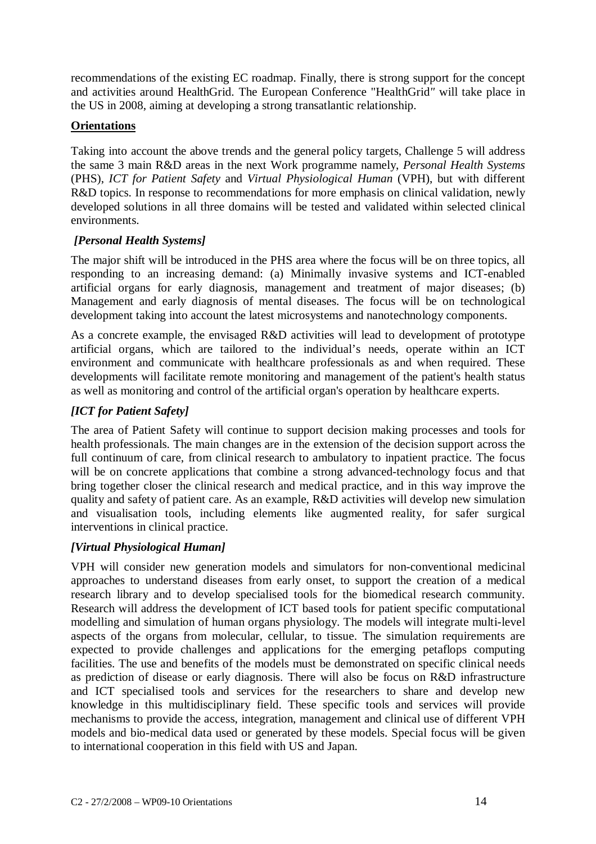recommendations of the existing EC roadmap. Finally, there is strong support for the concept and activities around HealthGrid. The European Conference "HealthGrid*"* will take place in the US in 2008, aiming at developing a strong transatlantic relationship.

### **Orientations**

Taking into account the above trends and the general policy targets, Challenge 5 will address the same 3 main R&D areas in the next Work programme namely, *Personal Health Systems* (PHS), *ICT for Patient Safety* and *Virtual Physiological Human* (VPH), but with different R&D topics. In response to recommendations for more emphasis on clinical validation, newly developed solutions in all three domains will be tested and validated within selected clinical environments.

### *[Personal Health Systems]*

The major shift will be introduced in the PHS area where the focus will be on three topics, all responding to an increasing demand: (a) Minimally invasive systems and ICT-enabled artificial organs for early diagnosis, management and treatment of major diseases; (b) Management and early diagnosis of mental diseases. The focus will be on technological development taking into account the latest microsystems and nanotechnology components.

As a concrete example, the envisaged R&D activities will lead to development of prototype artificial organs, which are tailored to the individual's needs, operate within an ICT environment and communicate with healthcare professionals as and when required. These developments will facilitate remote monitoring and management of the patient's health status as well as monitoring and control of the artificial organ's operation by healthcare experts.

## *[ICT for Patient Safety]*

The area of Patient Safety will continue to support decision making processes and tools for health professionals. The main changes are in the extension of the decision support across the full continuum of care, from clinical research to ambulatory to inpatient practice. The focus will be on concrete applications that combine a strong advanced-technology focus and that bring together closer the clinical research and medical practice, and in this way improve the quality and safety of patient care. As an example, R&D activities will develop new simulation and visualisation tools, including elements like augmented reality, for safer surgical interventions in clinical practice.

#### *[Virtual Physiological Human]*

VPH will consider new generation models and simulators for non-conventional medicinal approaches to understand diseases from early onset, to support the creation of a medical research library and to develop specialised tools for the biomedical research community. Research will address the development of ICT based tools for patient specific computational modelling and simulation of human organs physiology. The models will integrate multi-level aspects of the organs from molecular, cellular, to tissue. The simulation requirements are expected to provide challenges and applications for the emerging petaflops computing facilities. The use and benefits of the models must be demonstrated on specific clinical needs as prediction of disease or early diagnosis. There will also be focus on R&D infrastructure and ICT specialised tools and services for the researchers to share and develop new knowledge in this multidisciplinary field. These specific tools and services will provide mechanisms to provide the access, integration, management and clinical use of different VPH models and bio-medical data used or generated by these models. Special focus will be given to international cooperation in this field with US and Japan.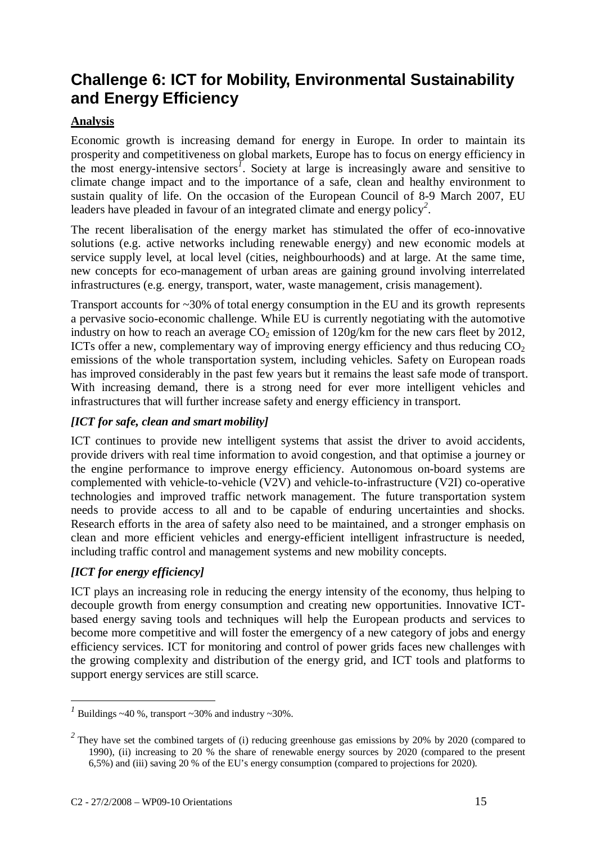# **Challenge 6: ICT for Mobility, Environmental Sustainability and Energy Efficiency**

## **Analysis**

Economic growth is increasing demand for energy in Europe. In order to maintain its prosperity and competitiveness on global markets, Europe has to focus on energy efficiency in the most energy-intensive sectors*<sup>1</sup>* . Society at large is increasingly aware and sensitive to climate change impact and to the importance of a safe, clean and healthy environment to sustain quality of life. On the occasion of the European Council of 8-9 March 2007, EU leaders have pleaded in favour of an integrated climate and energy policy*<sup>2</sup>* .

The recent liberalisation of the energy market has stimulated the offer of eco-innovative solutions (e.g. active networks including renewable energy) and new economic models at service supply level, at local level (cities, neighbourhoods) and at large. At the same time, new concepts for eco-management of urban areas are gaining ground involving interrelated infrastructures (e.g. energy, transport, water, waste management, crisis management).

Transport accounts for ~30% of total energy consumption in the EU and its growth represents a pervasive socio-economic challenge. While EU is currently negotiating with the automotive industry on how to reach an average  $CO<sub>2</sub>$  emission of  $120g/km$  for the new cars fleet by 2012, ICTs offer a new, complementary way of improving energy efficiency and thus reducing  $CO<sub>2</sub>$ emissions of the whole transportation system, including vehicles. Safety on European roads has improved considerably in the past few years but it remains the least safe mode of transport. With increasing demand, there is a strong need for ever more intelligent vehicles and infrastructures that will further increase safety and energy efficiency in transport.

## *[ICT for safe, clean and smart mobility]*

ICT continues to provide new intelligent systems that assist the driver to avoid accidents, provide drivers with real time information to avoid congestion, and that optimise a journey or the engine performance to improve energy efficiency. Autonomous on-board systems are complemented with vehicle-to-vehicle (V2V) and vehicle-to-infrastructure (V2I) co-operative technologies and improved traffic network management. The future transportation system needs to provide access to all and to be capable of enduring uncertainties and shocks. Research efforts in the area of safety also need to be maintained, and a stronger emphasis on clean and more efficient vehicles and energy-efficient intelligent infrastructure is needed, including traffic control and management systems and new mobility concepts.

## *[ICT for energy efficiency]*

ICT plays an increasing role in reducing the energy intensity of the economy, thus helping to decouple growth from energy consumption and creating new opportunities. Innovative ICTbased energy saving tools and techniques will help the European products and services to become more competitive and will foster the emergency of a new category of jobs and energy efficiency services. ICT for monitoring and control of power grids faces new challenges with the growing complexity and distribution of the energy grid, and ICT tools and platforms to support energy services are still scarce.

 $\frac{1}{1}$  Buildings ~40 %, transport ~30% and industry ~30%.

<sup>&</sup>lt;sup>2</sup> They have set the combined targets of (i) reducing greenhouse gas emissions by 20% by 2020 (compared to 1990), (ii) increasing to 20 % the share of renewable energy sources by 2020 (compared to the present 6,5%) and (iii) saving 20 % of the EU's energy consumption (compared to projections for 2020).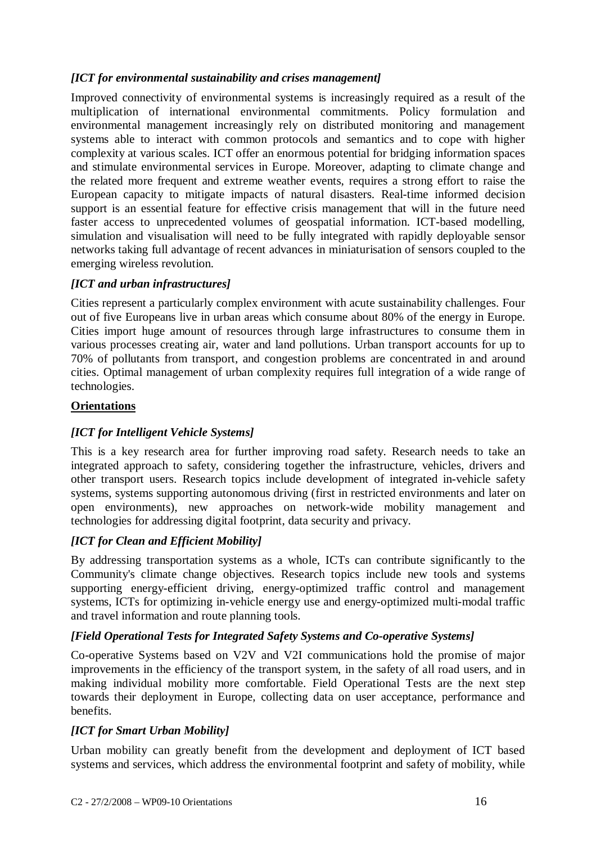## *[ICT for environmental sustainability and crises management]*

Improved connectivity of environmental systems is increasingly required as a result of the multiplication of international environmental commitments. Policy formulation and environmental management increasingly rely on distributed monitoring and management systems able to interact with common protocols and semantics and to cope with higher complexity at various scales. ICT offer an enormous potential for bridging information spaces and stimulate environmental services in Europe. Moreover, adapting to climate change and the related more frequent and extreme weather events, requires a strong effort to raise the European capacity to mitigate impacts of natural disasters. Real-time informed decision support is an essential feature for effective crisis management that will in the future need faster access to unprecedented volumes of geospatial information. ICT-based modelling, simulation and visualisation will need to be fully integrated with rapidly deployable sensor networks taking full advantage of recent advances in miniaturisation of sensors coupled to the emerging wireless revolution.

#### *[ICT and urban infrastructures]*

Cities represent a particularly complex environment with acute sustainability challenges. Four out of five Europeans live in urban areas which consume about 80% of the energy in Europe. Cities import huge amount of resources through large infrastructures to consume them in various processes creating air, water and land pollutions. Urban transport accounts for up to 70% of pollutants from transport, and congestion problems are concentrated in and around cities. Optimal management of urban complexity requires full integration of a wide range of technologies.

#### **Orientations**

## *[ICT for Intelligent Vehicle Systems]*

This is a key research area for further improving road safety. Research needs to take an integrated approach to safety, considering together the infrastructure, vehicles, drivers and other transport users. Research topics include development of integrated in-vehicle safety systems, systems supporting autonomous driving (first in restricted environments and later on open environments), new approaches on network-wide mobility management and technologies for addressing digital footprint, data security and privacy.

## *[ICT for Clean and Efficient Mobility]*

By addressing transportation systems as a whole, ICTs can contribute significantly to the Community's climate change objectives. Research topics include new tools and systems supporting energy-efficient driving, energy-optimized traffic control and management systems, ICTs for optimizing in-vehicle energy use and energy-optimized multi-modal traffic and travel information and route planning tools.

#### *[Field Operational Tests for Integrated Safety Systems and Co-operative Systems]*

Co-operative Systems based on V2V and V2I communications hold the promise of major improvements in the efficiency of the transport system, in the safety of all road users, and in making individual mobility more comfortable. Field Operational Tests are the next step towards their deployment in Europe, collecting data on user acceptance, performance and benefits.

## *[ICT for Smart Urban Mobility]*

Urban mobility can greatly benefit from the development and deployment of ICT based systems and services, which address the environmental footprint and safety of mobility, while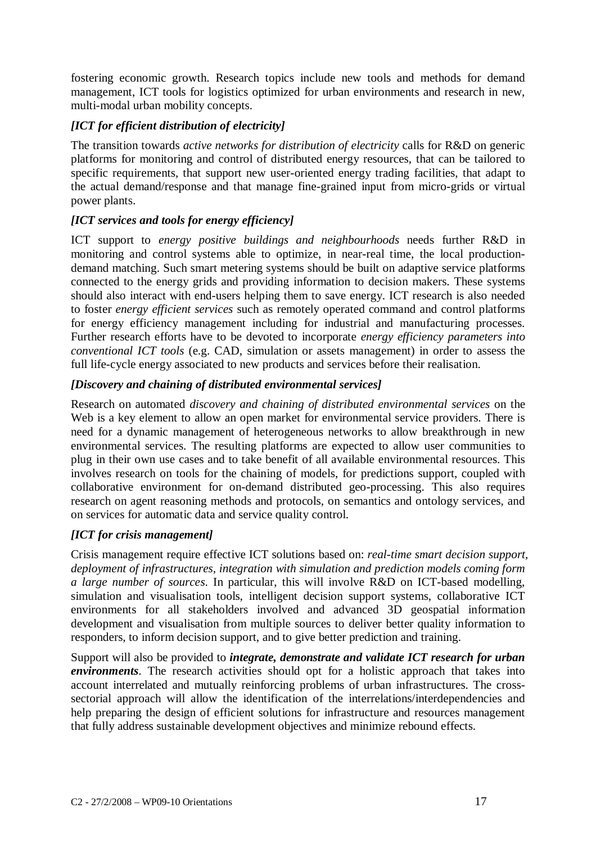fostering economic growth. Research topics include new tools and methods for demand management, ICT tools for logistics optimized for urban environments and research in new, multi-modal urban mobility concepts.

## *[ICT for efficient distribution of electricity]*

The transition towards *active networks for distribution of electricity* calls for R&D on generic platforms for monitoring and control of distributed energy resources, that can be tailored to specific requirements, that support new user-oriented energy trading facilities, that adapt to the actual demand/response and that manage fine-grained input from micro-grids or virtual power plants.

### *[ICT services and tools for energy efficiency]*

ICT support to *energy positive buildings and neighbourhoods* needs further R&D in monitoring and control systems able to optimize, in near-real time, the local productiondemand matching. Such smart metering systems should be built on adaptive service platforms connected to the energy grids and providing information to decision makers. These systems should also interact with end-users helping them to save energy. ICT research is also needed to foster *energy efficient services* such as remotely operated command and control platforms for energy efficiency management including for industrial and manufacturing processes. Further research efforts have to be devoted to incorporate *energy efficiency parameters into conventional ICT tools* (e.g. CAD, simulation or assets management) in order to assess the full life-cycle energy associated to new products and services before their realisation.

#### *[Discovery and chaining of distributed environmental services]*

Research on automated *discovery and chaining of distributed environmental services* on the Web is a key element to allow an open market for environmental service providers. There is need for a dynamic management of heterogeneous networks to allow breakthrough in new environmental services. The resulting platforms are expected to allow user communities to plug in their own use cases and to take benefit of all available environmental resources. This involves research on tools for the chaining of models, for predictions support, coupled with collaborative environment for on-demand distributed geo-processing. This also requires research on agent reasoning methods and protocols, on semantics and ontology services, and on services for automatic data and service quality control.

#### *[ICT for crisis management]*

Crisis management require effective ICT solutions based on: *real-time smart decision support, deployment of infrastructures, integration with simulation and prediction models coming form a large number of sources*. In particular, this will involve R&D on ICT-based modelling, simulation and visualisation tools, intelligent decision support systems, collaborative ICT environments for all stakeholders involved and advanced 3D geospatial information development and visualisation from multiple sources to deliver better quality information to responders, to inform decision support, and to give better prediction and training.

Support will also be provided to *integrate, demonstrate and validate ICT research for urban environments*. The research activities should opt for a holistic approach that takes into account interrelated and mutually reinforcing problems of urban infrastructures. The crosssectorial approach will allow the identification of the interrelations/interdependencies and help preparing the design of efficient solutions for infrastructure and resources management that fully address sustainable development objectives and minimize rebound effects.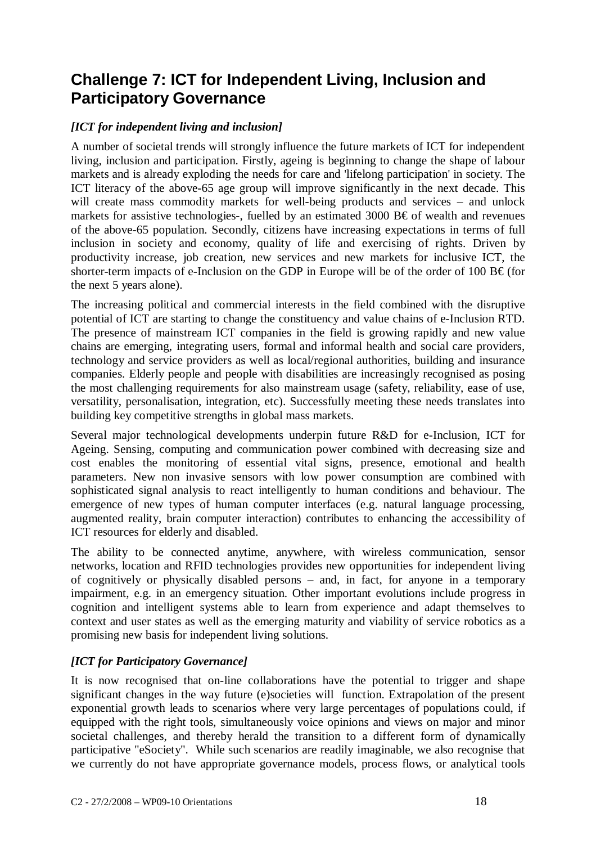## **Challenge 7: ICT for Independent Living, Inclusion and Participatory Governance**

## *[ICT for independent living and inclusion]*

A number of societal trends will strongly influence the future markets of ICT for independent living, inclusion and participation. Firstly, ageing is beginning to change the shape of labour markets and is already exploding the needs for care and 'lifelong participation' in society. The ICT literacy of the above-65 age group will improve significantly in the next decade. This will create mass commodity markets for well-being products and services – and unlock markets for assistive technologies-, fuelled by an estimated 3000  $B \in \mathfrak{c}$  of wealth and revenues of the above-65 population. Secondly, citizens have increasing expectations in terms of full inclusion in society and economy, quality of life and exercising of rights. Driven by productivity increase, job creation, new services and new markets for inclusive ICT, the shorter-term impacts of e-Inclusion on the GDP in Europe will be of the order of 100 B $\epsilon$  (for the next 5 years alone).

The increasing political and commercial interests in the field combined with the disruptive potential of ICT are starting to change the constituency and value chains of e-Inclusion RTD. The presence of mainstream ICT companies in the field is growing rapidly and new value chains are emerging, integrating users, formal and informal health and social care providers, technology and service providers as well as local/regional authorities, building and insurance companies. Elderly people and people with disabilities are increasingly recognised as posing the most challenging requirements for also mainstream usage (safety, reliability, ease of use, versatility, personalisation, integration, etc). Successfully meeting these needs translates into building key competitive strengths in global mass markets.

Several major technological developments underpin future R&D for e-Inclusion, ICT for Ageing. Sensing, computing and communication power combined with decreasing size and cost enables the monitoring of essential vital signs, presence, emotional and health parameters. New non invasive sensors with low power consumption are combined with sophisticated signal analysis to react intelligently to human conditions and behaviour. The emergence of new types of human computer interfaces (e.g. natural language processing, augmented reality, brain computer interaction) contributes to enhancing the accessibility of ICT resources for elderly and disabled.

The ability to be connected anytime, anywhere, with wireless communication, sensor networks, location and RFID technologies provides new opportunities for independent living of cognitively or physically disabled persons – and, in fact, for anyone in a temporary impairment, e.g. in an emergency situation. Other important evolutions include progress in cognition and intelligent systems able to learn from experience and adapt themselves to context and user states as well as the emerging maturity and viability of service robotics as a promising new basis for independent living solutions.

#### *[ICT for Participatory Governance]*

It is now recognised that on-line collaborations have the potential to trigger and shape significant changes in the way future (e)societies will function. Extrapolation of the present exponential growth leads to scenarios where very large percentages of populations could, if equipped with the right tools, simultaneously voice opinions and views on major and minor societal challenges, and thereby herald the transition to a different form of dynamically participative "eSociety". While such scenarios are readily imaginable, we also recognise that we currently do not have appropriate governance models, process flows, or analytical tools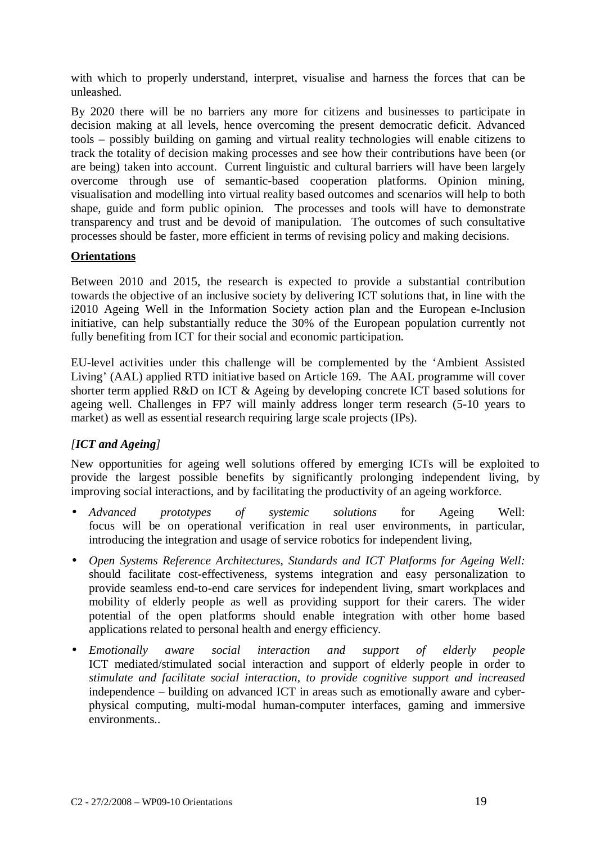with which to properly understand, interpret, visualise and harness the forces that can be unleashed.

By 2020 there will be no barriers any more for citizens and businesses to participate in decision making at all levels, hence overcoming the present democratic deficit. Advanced tools – possibly building on gaming and virtual reality technologies will enable citizens to track the totality of decision making processes and see how their contributions have been (or are being) taken into account. Current linguistic and cultural barriers will have been largely overcome through use of semantic-based cooperation platforms. Opinion mining, visualisation and modelling into virtual reality based outcomes and scenarios will help to both shape, guide and form public opinion. The processes and tools will have to demonstrate transparency and trust and be devoid of manipulation. The outcomes of such consultative processes should be faster, more efficient in terms of revising policy and making decisions.

#### **Orientations**

Between 2010 and 2015, the research is expected to provide a substantial contribution towards the objective of an inclusive society by delivering ICT solutions that, in line with the i2010 Ageing Well in the Information Society action plan and the European e-Inclusion initiative, can help substantially reduce the 30% of the European population currently not fully benefiting from ICT for their social and economic participation.

EU-level activities under this challenge will be complemented by the 'Ambient Assisted Living' (AAL) applied RTD initiative based on Article 169. The AAL programme will cover shorter term applied R&D on ICT & Ageing by developing concrete ICT based solutions for ageing well. Challenges in FP7 will mainly address longer term research (5-10 years to market) as well as essential research requiring large scale projects (IPs).

## *[ICT and Ageing]*

New opportunities for ageing well solutions offered by emerging ICTs will be exploited to provide the largest possible benefits by significantly prolonging independent living, by improving social interactions, and by facilitating the productivity of an ageing workforce.

- *Advanced prototypes of systemic solutions* for Ageing Well: focus will be on operational verification in real user environments, in particular, introducing the integration and usage of service robotics for independent living,
- *Open Systems Reference Architectures, Standards and ICT Platforms for Ageing Well:*  should facilitate cost-effectiveness, systems integration and easy personalization to provide seamless end-to-end care services for independent living, smart workplaces and mobility of elderly people as well as providing support for their carers. The wider potential of the open platforms should enable integration with other home based applications related to personal health and energy efficiency.
- *Emotionally aware social interaction and support of elderly people* ICT mediated/stimulated social interaction and support of elderly people in order to *stimulate and facilitate social interaction, to provide cognitive support and increased* independence – building on advanced ICT in areas such as emotionally aware and cyberphysical computing, multi-modal human-computer interfaces, gaming and immersive environments..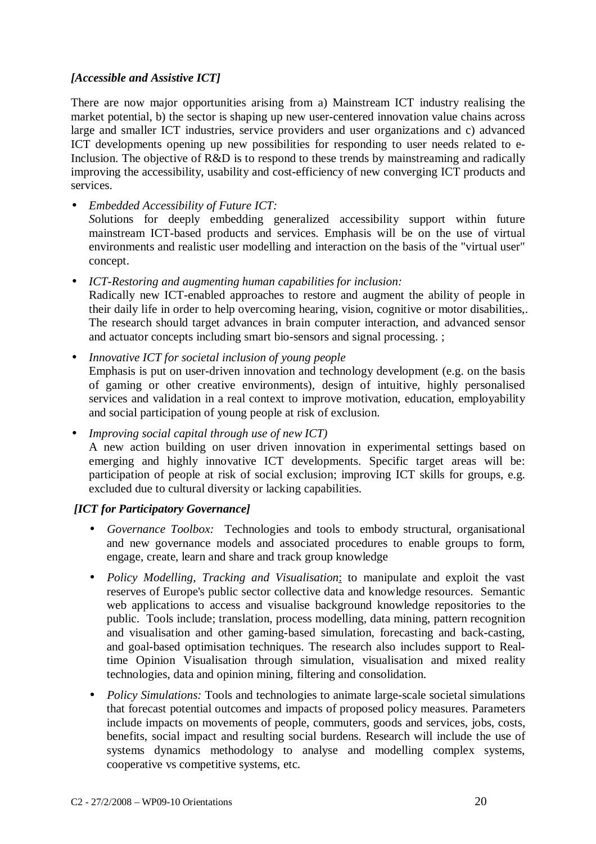### *[Accessible and Assistive ICT]*

There are now major opportunities arising from a) Mainstream ICT industry realising the market potential, b) the sector is shaping up new user-centered innovation value chains across large and smaller ICT industries, service providers and user organizations and c) advanced ICT developments opening up new possibilities for responding to user needs related to e-Inclusion. The objective of R&D is to respond to these trends by mainstreaming and radically improving the accessibility, usability and cost-efficiency of new converging ICT products and services.

• *Embedded Accessibility of Future ICT: S*olutions for deeply embedding generalized accessibility support within future mainstream ICT-based products and services. Emphasis will be on the use of virtual environments and realistic user modelling and interaction on the basis of the "virtual user" concept.

• *ICT-Restoring and augmenting human capabilities for inclusion:*  Radically new ICT-enabled approaches to restore and augment the ability of people in their daily life in order to help overcoming hearing, vision, cognitive or motor disabilities,. The research should target advances in brain computer interaction, and advanced sensor and actuator concepts including smart bio-sensors and signal processing. ;

• *Innovative ICT for societal inclusion of young people*  Emphasis is put on user-driven innovation and technology development (e.g. on the basis of gaming or other creative environments), design of intuitive, highly personalised services and validation in a real context to improve motivation, education, employability and social participation of young people at risk of exclusion.

• *Improving social capital through use of new ICT)*  A new action building on user driven innovation in experimental settings based on emerging and highly innovative ICT developments. Specific target areas will be: participation of people at risk of social exclusion; improving ICT skills for groups, e.g. excluded due to cultural diversity or lacking capabilities.

#### *[ICT for Participatory Governance]*

- *Governance Toolbox:* Technologies and tools to embody structural, organisational and new governance models and associated procedures to enable groups to form, engage, create, learn and share and track group knowledge
- *Policy Modelling, Tracking and Visualisation*: to manipulate and exploit the vast reserves of Europe's public sector collective data and knowledge resources. Semantic web applications to access and visualise background knowledge repositories to the public. Tools include; translation, process modelling, data mining, pattern recognition and visualisation and other gaming-based simulation, forecasting and back-casting, and goal-based optimisation techniques. The research also includes support to Realtime Opinion Visualisation through simulation, visualisation and mixed reality technologies, data and opinion mining, filtering and consolidation.
- *Policy Simulations:* Tools and technologies to animate large-scale societal simulations that forecast potential outcomes and impacts of proposed policy measures. Parameters include impacts on movements of people, commuters, goods and services, jobs, costs, benefits, social impact and resulting social burdens. Research will include the use of systems dynamics methodology to analyse and modelling complex systems, cooperative vs competitive systems, etc.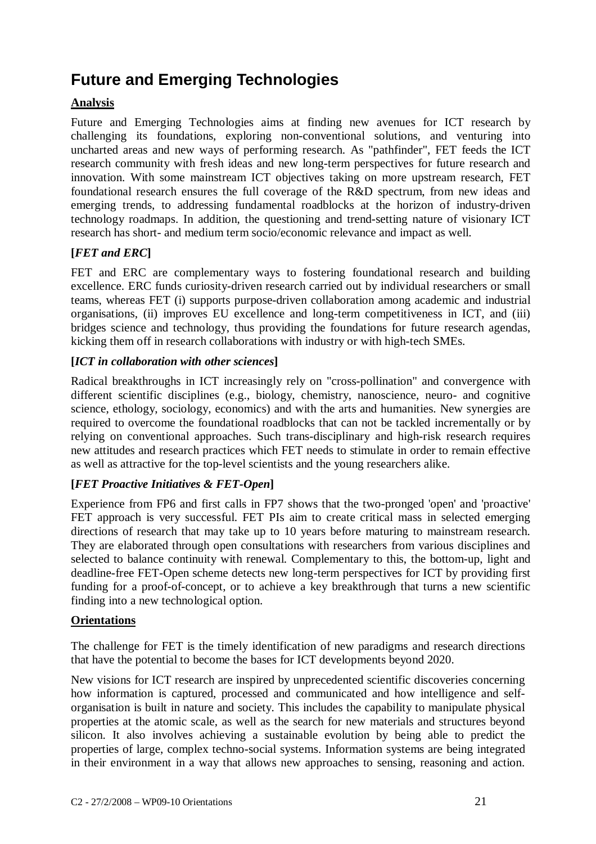# **Future and Emerging Technologies**

## **Analysis**

Future and Emerging Technologies aims at finding new avenues for ICT research by challenging its foundations, exploring non-conventional solutions, and venturing into uncharted areas and new ways of performing research. As "pathfinder", FET feeds the ICT research community with fresh ideas and new long-term perspectives for future research and innovation. With some mainstream ICT objectives taking on more upstream research, FET foundational research ensures the full coverage of the R&D spectrum, from new ideas and emerging trends, to addressing fundamental roadblocks at the horizon of industry-driven technology roadmaps. In addition, the questioning and trend-setting nature of visionary ICT research has short- and medium term socio/economic relevance and impact as well.

## **[***FET and ERC***]**

FET and ERC are complementary ways to fostering foundational research and building excellence. ERC funds curiosity-driven research carried out by individual researchers or small teams, whereas FET (i) supports purpose-driven collaboration among academic and industrial organisations, (ii) improves EU excellence and long-term competitiveness in ICT, and (iii) bridges science and technology, thus providing the foundations for future research agendas, kicking them off in research collaborations with industry or with high-tech SMEs.

### **[***ICT in collaboration with other sciences***]**

Radical breakthroughs in ICT increasingly rely on "cross-pollination" and convergence with different scientific disciplines (e.g., biology, chemistry, nanoscience, neuro- and cognitive science, ethology, sociology, economics) and with the arts and humanities. New synergies are required to overcome the foundational roadblocks that can not be tackled incrementally or by relying on conventional approaches. Such trans-disciplinary and high-risk research requires new attitudes and research practices which FET needs to stimulate in order to remain effective as well as attractive for the top-level scientists and the young researchers alike.

## **[***FET Proactive Initiatives & FET-Open***]**

Experience from FP6 and first calls in FP7 shows that the two-pronged 'open' and 'proactive' FET approach is very successful. FET PIs aim to create critical mass in selected emerging directions of research that may take up to 10 years before maturing to mainstream research. They are elaborated through open consultations with researchers from various disciplines and selected to balance continuity with renewal. Complementary to this, the bottom-up, light and deadline-free FET-Open scheme detects new long-term perspectives for ICT by providing first funding for a proof-of-concept, or to achieve a key breakthrough that turns a new scientific finding into a new technological option.

#### **Orientations**

The challenge for FET is the timely identification of new paradigms and research directions that have the potential to become the bases for ICT developments beyond 2020.

New visions for ICT research are inspired by unprecedented scientific discoveries concerning how information is captured, processed and communicated and how intelligence and selforganisation is built in nature and society. This includes the capability to manipulate physical properties at the atomic scale, as well as the search for new materials and structures beyond silicon. It also involves achieving a sustainable evolution by being able to predict the properties of large, complex techno-social systems. Information systems are being integrated in their environment in a way that allows new approaches to sensing, reasoning and action.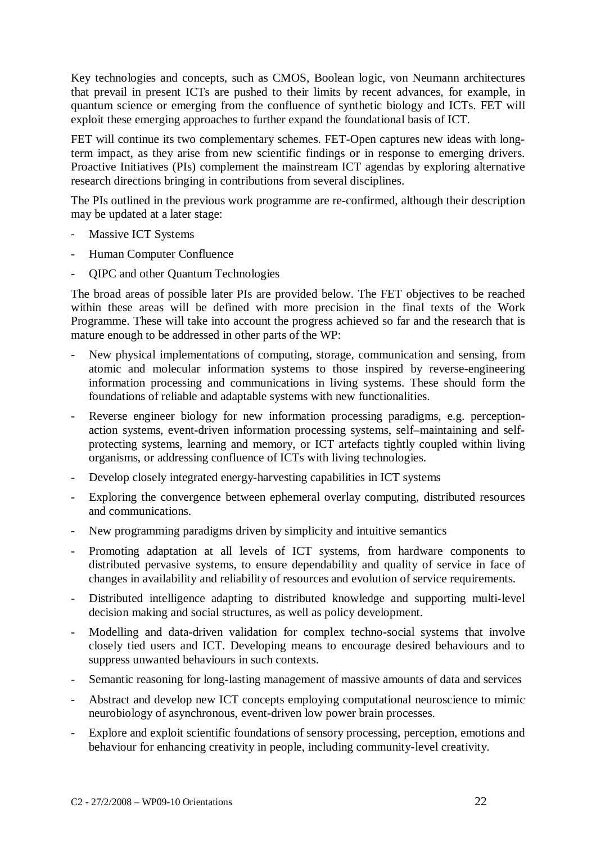Key technologies and concepts, such as CMOS, Boolean logic, von Neumann architectures that prevail in present ICTs are pushed to their limits by recent advances, for example, in quantum science or emerging from the confluence of synthetic biology and ICTs. FET will exploit these emerging approaches to further expand the foundational basis of ICT.

FET will continue its two complementary schemes. FET-Open captures new ideas with longterm impact, as they arise from new scientific findings or in response to emerging drivers. Proactive Initiatives (PIs) complement the mainstream ICT agendas by exploring alternative research directions bringing in contributions from several disciplines.

The PIs outlined in the previous work programme are re-confirmed, although their description may be updated at a later stage:

- Massive ICT Systems
- Human Computer Confluence
- QIPC and other Quantum Technologies

The broad areas of possible later PIs are provided below. The FET objectives to be reached within these areas will be defined with more precision in the final texts of the Work Programme. These will take into account the progress achieved so far and the research that is mature enough to be addressed in other parts of the WP:

- New physical implementations of computing, storage, communication and sensing, from atomic and molecular information systems to those inspired by reverse-engineering information processing and communications in living systems. These should form the foundations of reliable and adaptable systems with new functionalities.
- Reverse engineer biology for new information processing paradigms, e.g. perceptionaction systems, event-driven information processing systems, self–maintaining and selfprotecting systems, learning and memory, or ICT artefacts tightly coupled within living organisms, or addressing confluence of ICTs with living technologies.
- Develop closely integrated energy-harvesting capabilities in ICT systems
- Exploring the convergence between ephemeral overlay computing, distributed resources and communications.
- New programming paradigms driven by simplicity and intuitive semantics
- Promoting adaptation at all levels of ICT systems, from hardware components to distributed pervasive systems, to ensure dependability and quality of service in face of changes in availability and reliability of resources and evolution of service requirements.
- Distributed intelligence adapting to distributed knowledge and supporting multi-level decision making and social structures, as well as policy development.
- Modelling and data-driven validation for complex techno-social systems that involve closely tied users and ICT. Developing means to encourage desired behaviours and to suppress unwanted behaviours in such contexts.
- Semantic reasoning for long-lasting management of massive amounts of data and services
- Abstract and develop new ICT concepts employing computational neuroscience to mimic neurobiology of asynchronous, event-driven low power brain processes.
- Explore and exploit scientific foundations of sensory processing, perception, emotions and behaviour for enhancing creativity in people, including community-level creativity.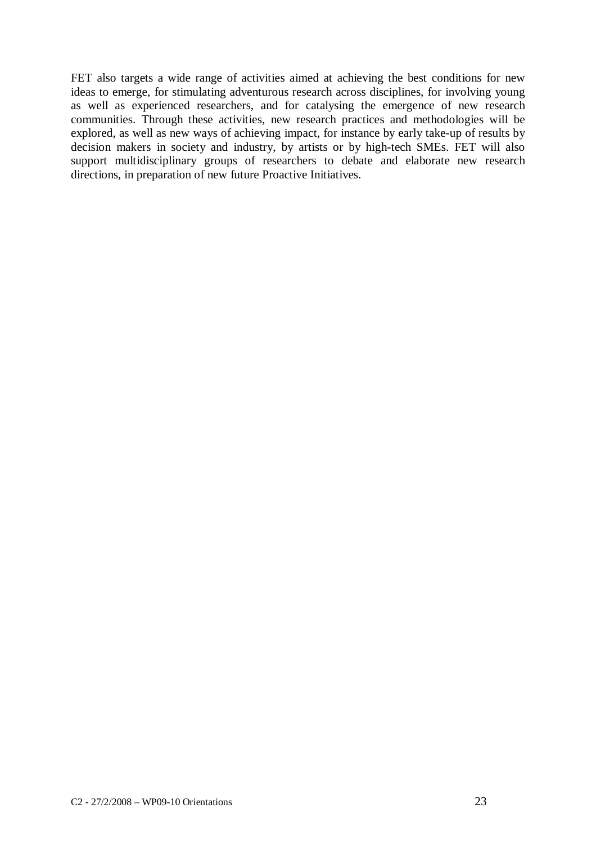FET also targets a wide range of activities aimed at achieving the best conditions for new ideas to emerge, for stimulating adventurous research across disciplines, for involving young as well as experienced researchers, and for catalysing the emergence of new research communities. Through these activities, new research practices and methodologies will be explored, as well as new ways of achieving impact, for instance by early take-up of results by decision makers in society and industry, by artists or by high-tech SMEs. FET will also support multidisciplinary groups of researchers to debate and elaborate new research directions, in preparation of new future Proactive Initiatives.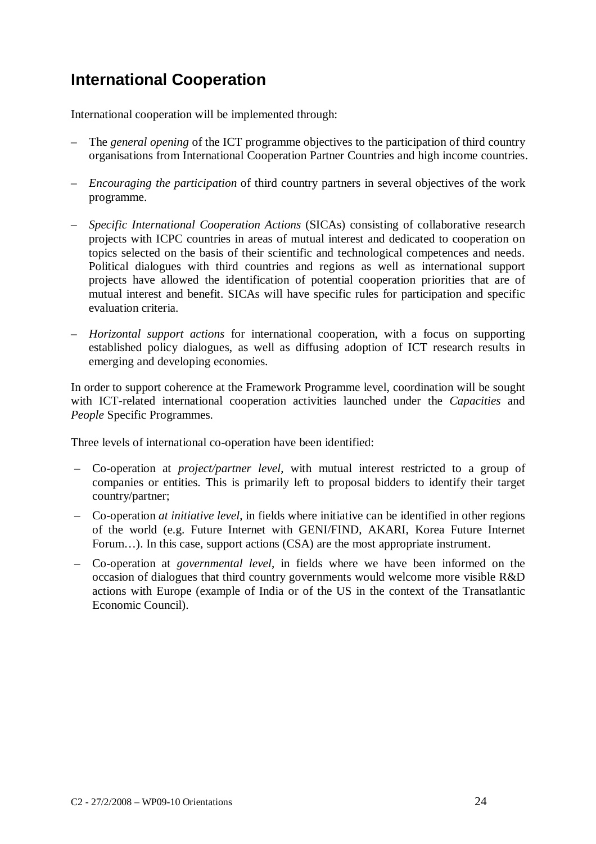# **International Cooperation**

International cooperation will be implemented through:

- The *general opening* of the ICT programme objectives to the participation of third country organisations from International Cooperation Partner Countries and high income countries.
- *Encouraging the participation* of third country partners in several objectives of the work programme.
- *Specific International Cooperation Actions* (SICAs) consisting of collaborative research projects with ICPC countries in areas of mutual interest and dedicated to cooperation on topics selected on the basis of their scientific and technological competences and needs. Political dialogues with third countries and regions as well as international support projects have allowed the identification of potential cooperation priorities that are of mutual interest and benefit. SICAs will have specific rules for participation and specific evaluation criteria.
- *Horizontal support actions* for international cooperation, with a focus on supporting established policy dialogues, as well as diffusing adoption of ICT research results in emerging and developing economies.

In order to support coherence at the Framework Programme level, coordination will be sought with ICT-related international cooperation activities launched under the *Capacities* and *People* Specific Programmes.

Three levels of international co-operation have been identified:

- Co-operation at *project/partner level*, with mutual interest restricted to a group of companies or entities. This is primarily left to proposal bidders to identify their target country/partner;
- Co-operation *at initiative level*, in fields where initiative can be identified in other regions of the world (e.g. Future Internet with GENI/FIND, AKARI, Korea Future Internet Forum...). In this case, support actions (CSA) are the most appropriate instrument.
- Co-operation at *governmental level*, in fields where we have been informed on the occasion of dialogues that third country governments would welcome more visible R&D actions with Europe (example of India or of the US in the context of the Transatlantic Economic Council).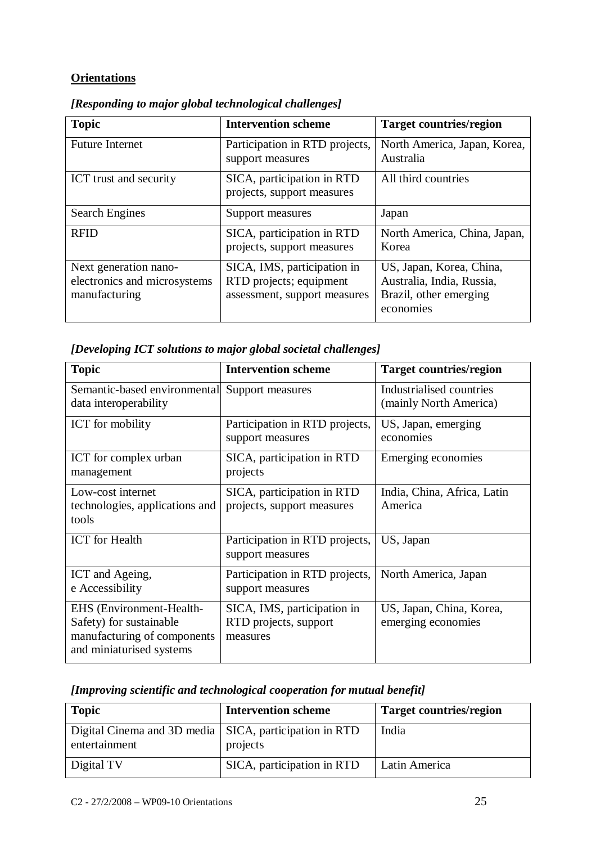## **Orientations**

| <b>Topic</b>                                                           | <b>Intervention scheme</b>                                                             | <b>Target countries/region</b>                                                               |
|------------------------------------------------------------------------|----------------------------------------------------------------------------------------|----------------------------------------------------------------------------------------------|
| <b>Future Internet</b>                                                 | Participation in RTD projects,<br>support measures                                     | North America, Japan, Korea,<br>Australia                                                    |
| ICT trust and security                                                 | SICA, participation in RTD<br>projects, support measures                               | All third countries                                                                          |
| <b>Search Engines</b>                                                  | Support measures                                                                       | Japan                                                                                        |
| <b>RFID</b>                                                            | SICA, participation in RTD<br>projects, support measures                               | North America, China, Japan,<br>Korea                                                        |
| Next generation nano-<br>electronics and microsystems<br>manufacturing | SICA, IMS, participation in<br>RTD projects; equipment<br>assessment, support measures | US, Japan, Korea, China,<br>Australia, India, Russia,<br>Brazil, other emerging<br>economies |

*[Responding to major global technological challenges]* 

| [Developing ICT solutions to major global societal challenges] |  |  |  |
|----------------------------------------------------------------|--|--|--|
|----------------------------------------------------------------|--|--|--|

| <b>Topic</b>                                                                                                   | <b>Intervention scheme</b>                                       | <b>Target countries/region</b>                     |
|----------------------------------------------------------------------------------------------------------------|------------------------------------------------------------------|----------------------------------------------------|
| Semantic-based environmental<br>data interoperability                                                          | Support measures                                                 | Industrialised countries<br>(mainly North America) |
| ICT for mobility                                                                                               | Participation in RTD projects,<br>support measures               | US, Japan, emerging<br>economies                   |
| ICT for complex urban<br>management                                                                            | SICA, participation in RTD<br>projects                           | Emerging economies                                 |
| Low-cost internet<br>technologies, applications and<br>tools                                                   | SICA, participation in RTD<br>projects, support measures         | India, China, Africa, Latin<br>America             |
| <b>ICT</b> for Health                                                                                          | Participation in RTD projects,<br>support measures               | US, Japan                                          |
| ICT and Ageing,<br>e Accessibility                                                                             | Participation in RTD projects,<br>support measures               | North America, Japan                               |
| EHS (Environment-Health-<br>Safety) for sustainable<br>manufacturing of components<br>and miniaturised systems | SICA, IMS, participation in<br>RTD projects, support<br>measures | US, Japan, China, Korea,<br>emerging economies     |

|  | [Improving scientific and technological cooperation for mutual benefit] |  |
|--|-------------------------------------------------------------------------|--|
|--|-------------------------------------------------------------------------|--|

| <b>Topic</b>                                                              | <b>Intervention scheme</b> | <b>Target countries/region</b> |
|---------------------------------------------------------------------------|----------------------------|--------------------------------|
| Digital Cinema and 3D media   SICA, participation in RTD<br>entertainment | projects                   | India                          |
| Digital TV                                                                | SICA, participation in RTD | Latin America                  |